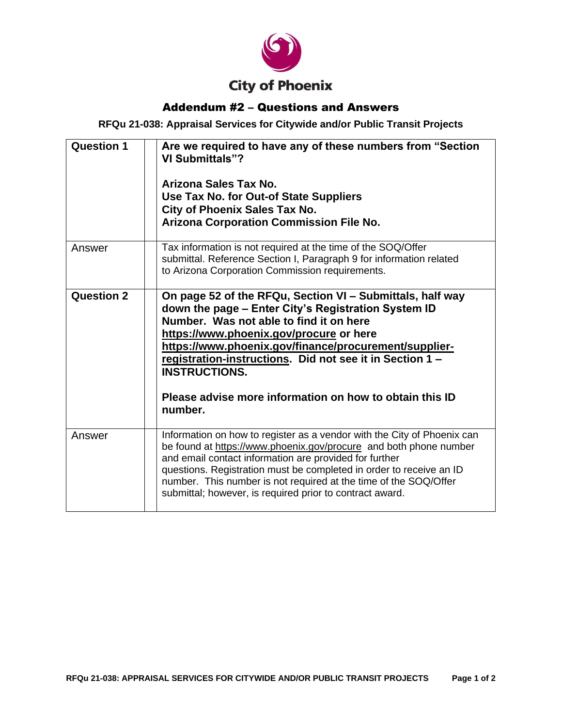

## Addendum #2 – Questions and Answers

**RFQu 21-038: Appraisal Services for Citywide and/or Public Transit Projects**

| <b>Question 1</b> | Are we required to have any of these numbers from "Section<br>VI Submittals"?<br>Arizona Sales Tax No.<br>Use Tax No. for Out-of State Suppliers<br><b>City of Phoenix Sales Tax No.</b><br><b>Arizona Corporation Commission File No.</b>                                                                                                                                                                                |
|-------------------|---------------------------------------------------------------------------------------------------------------------------------------------------------------------------------------------------------------------------------------------------------------------------------------------------------------------------------------------------------------------------------------------------------------------------|
| Answer            | Tax information is not required at the time of the SOQ/Offer<br>submittal. Reference Section I, Paragraph 9 for information related<br>to Arizona Corporation Commission requirements.                                                                                                                                                                                                                                    |
| <b>Question 2</b> | On page 52 of the RFQu, Section VI - Submittals, half way<br>down the page - Enter City's Registration System ID<br>Number. Was not able to find it on here<br>https://www.phoenix.gov/procure or here<br>https://www.phoenix.gov/finance/procurement/supplier-<br>registration-instructions. Did not see it in Section 1 -<br><b>INSTRUCTIONS.</b><br>Please advise more information on how to obtain this ID<br>number. |
| Answer            | Information on how to register as a vendor with the City of Phoenix can<br>be found at https://www.phoenix.gov/procure and both phone number<br>and email contact information are provided for further<br>questions. Registration must be completed in order to receive an ID<br>number. This number is not required at the time of the SOQ/Offer<br>submittal; however, is required prior to contract award.             |